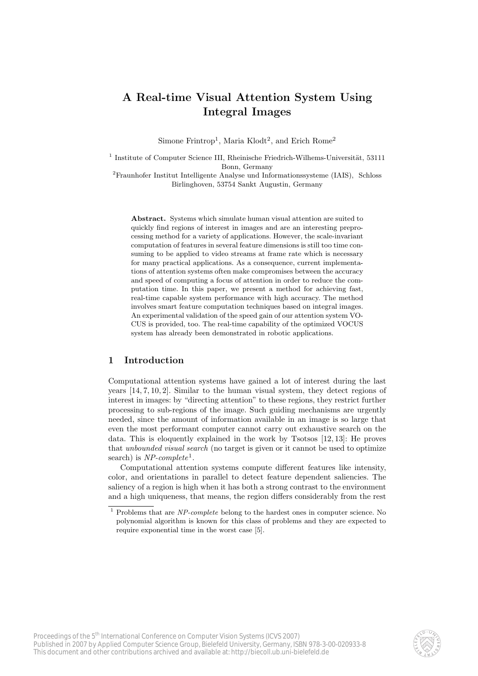# A Real-time Visual Attention System Using Integral Images

Simone Frintrop<sup>1</sup>, Maria Klodt<sup>2</sup>, and Erich Rome<sup>2</sup>

 $<sup>1</sup>$  Institute of Computer Science III, Rheinische Friedrich-Wilhems-Universität, 53111</sup> Bonn, Germany

<sup>2</sup>Fraunhofer Institut Intelligente Analyse und Informationssysteme (IAIS), Schloss Birlinghoven, 53754 Sankt Augustin, Germany

Abstract. Systems which simulate human visual attention are suited to quickly find regions of interest in images and are an interesting preprocessing method for a variety of applications. However, the scale-invariant computation of features in several feature dimensions is still too time consuming to be applied to video streams at frame rate which is necessary for many practical applications. As a consequence, current implementations of attention systems often make compromises between the accuracy and speed of computing a focus of attention in order to reduce the computation time. In this paper, we present a method for achieving fast, real-time capable system performance with high accuracy. The method involves smart feature computation techniques based on integral images. An experimental validation of the speed gain of our attention system VO-CUS is provided, too. The real-time capability of the optimized VOCUS system has already been demonstrated in robotic applications.

#### 1 Introduction

Computational attention systems have gained a lot of interest during the last years [14, 7, 10, 2]. Similar to the human visual system, they detect regions of interest in images: by "directing attention" to these regions, they restrict further processing to sub-regions of the image. Such guiding mechanisms are urgently needed, since the amount of information available in an image is so large that even the most performant computer cannot carry out exhaustive search on the data. This is eloquently explained in the work by Tsotsos [12, 13]: He proves that *unbounded visual search* (no target is given or it cannot be used to optimize search) is  $NP-complete^1$ .

Computational attention systems compute different features like intensity, color, and orientations in parallel to detect feature dependent saliencies. The saliency of a region is high when it has both a strong contrast to the environment and a high uniqueness, that means, the region differs considerably from the rest



 $1$  Problems that are *NP-complete* belong to the hardest ones in computer science. No polynomial algorithm is known for this class of problems and they are expected to require exponential time in the worst case [5].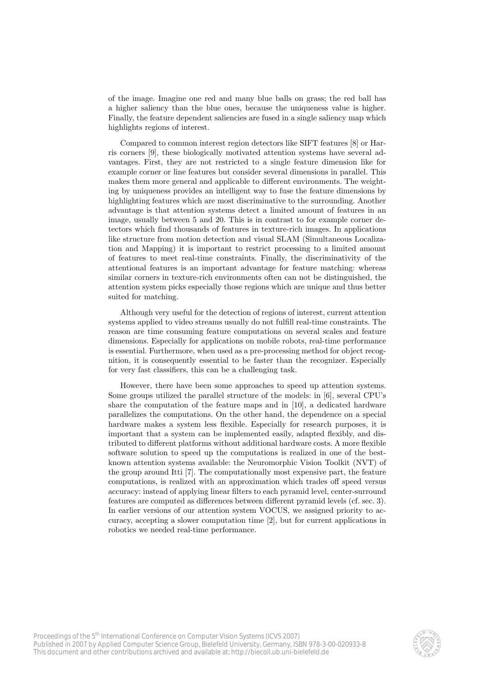of the image. Imagine one red and many blue balls on grass; the red ball has a higher saliency than the blue ones, because the uniqueness value is higher. Finally, the feature dependent saliencies are fused in a single saliency map which highlights regions of interest.

Compared to common interest region detectors like SIFT features [8] or Harris corners [9], these biologically motivated attention systems have several advantages. First, they are not restricted to a single feature dimension like for example corner or line features but consider several dimensions in parallel. This makes them more general and applicable to different environments. The weighting by uniqueness provides an intelligent way to fuse the feature dimensions by highlighting features which are most discriminative to the surrounding. Another advantage is that attention systems detect a limited amount of features in an image, usually between 5 and 20. This is in contrast to for example corner detectors which find thousands of features in texture-rich images. In applications like structure from motion detection and visual SLAM (Simultaneous Localization and Mapping) it is important to restrict processing to a limited amount of features to meet real-time constraints. Finally, the discriminativity of the attentional features is an important advantage for feature matching: whereas similar corners in texture-rich environments often can not be distinguished, the attention system picks especially those regions which are unique and thus better suited for matching.

Although very useful for the detection of regions of interest, current attention systems applied to video streams usually do not fulfill real-time constraints. The reason are time consuming feature computations on several scales and feature dimensions. Especially for applications on mobile robots, real-time performance is essential. Furthermore, when used as a pre-processing method for object recognition, it is consequently essential to be faster than the recognizer. Especially for very fast classifiers, this can be a challenging task.

However, there have been some approaches to speed up attention systems. Some groups utilized the parallel structure of the models: in [6], several CPU's share the computation of the feature maps and in [10], a dedicated hardware parallelizes the computations. On the other hand, the dependence on a special hardware makes a system less flexible. Especially for research purposes, it is important that a system can be implemented easily, adapted flexibly, and distributed to different platforms without additional hardware costs. A more flexible software solution to speed up the computations is realized in one of the bestknown attention systems available: the Neuromorphic Vision Toolkit (NVT) of the group around Itti [7]. The computationally most expensive part, the feature computations, is realized with an approximation which trades off speed versus accuracy: instead of applying linear filters to each pyramid level, center-surround features are computed as differences between different pyramid levels (cf. sec. 3). In earlier versions of our attention system VOCUS, we assigned priority to accuracy, accepting a slower computation time [2], but for current applications in robotics we needed real-time performance.

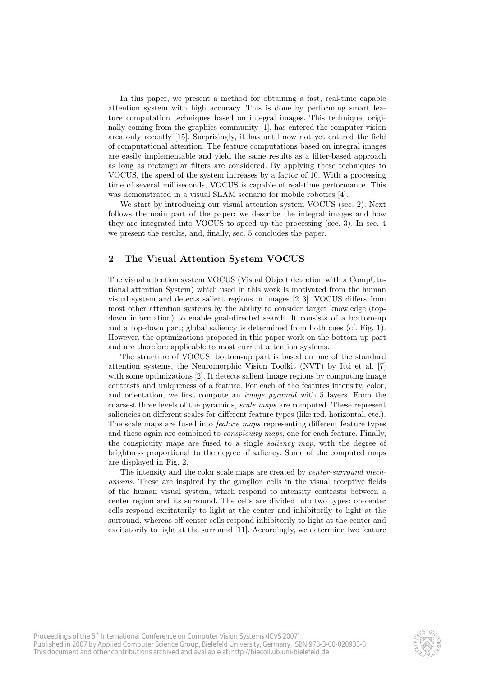In this paper, we present a method for obtaining a fast, real-time capable attention system with high accuracy. This is done by performing smart feature computation techniques based on integral images. This technique, originally coming from the graphics community [1], has entered the computer vision area only recently [15]. Surprisingly, it has until now not yet entered the field of computational attention. The feature computations based on integral images are easily implementable and yield the same results as a filter-based approach as long as rectangular filters are considered. By applying these techniques to VOCUS, the speed of the system increases by a factor of 10. With a processing time of several milliseconds, VOCUS is capable of real-time performance. This was demonstrated in a visual SLAM scenario for mobile robotics [4].

We start by introducing our visual attention system VOCUS (sec. 2). Next follows the main part of the paper: we describe the integral images and how they are integrated into VOCUS to speed up the processing (sec. 3). In sec. 4 we present the results, and, finally, sec. 5 concludes the paper.

## 2 The Visual Attention System VOCUS

The visual attention system VOCUS (Visual Object detection with a CompUtational attention System) which used in this work is motivated from the human visual system and detects salient regions in images [2, 3]. VOCUS differs from most other attention systems by the ability to consider target knowledge (topdown information) to enable goal-directed search. It consists of a bottom-up and a top-down part; global saliency is determined from both cues (cf. Fig. 1). However, the optimizations proposed in this paper work on the bottom-up part and are therefore applicable to most current attention systems.

The structure of VOCUS' bottom-up part is based on one of the standard attention systems, the Neuromorphic Vision Toolkit (NVT) by Itti et al. [7] with some optimizations [2]. It detects salient image regions by computing image contrasts and uniqueness of a feature. For each of the features intensity, color, and orientation, we first compute an *image pyramid* with 5 layers. From the coarsest three levels of the pyramids, scale maps are computed. These represent saliencies on different scales for different feature types (like red, horizontal, etc.). The scale maps are fused into feature maps representing different feature types and these again are combined to conspicuity maps, one for each feature. Finally, the conspicuity maps are fused to a single *saliency map*, with the degree of brightness proportional to the degree of saliency. Some of the computed maps are displayed in Fig. 2.

The intensity and the color scale maps are created by center-surround mechanisms. These are inspired by the ganglion cells in the visual receptive fields of the human visual system, which respond to intensity contrasts between a center region and its surround. The cells are divided into two types: on-center cells respond excitatorily to light at the center and inhibitorily to light at the surround, whereas off-center cells respond inhibitorily to light at the center and excitatorily to light at the surround [11]. Accordingly, we determine two feature

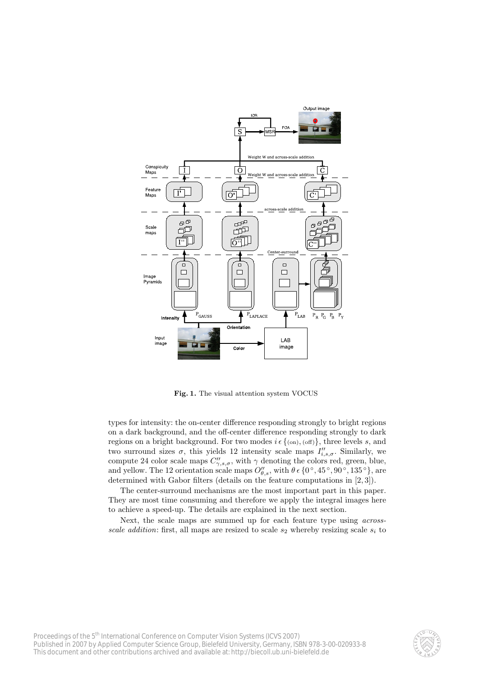

Fig. 1. The visual attention system VOCUS

types for intensity: the on-center difference responding strongly to bright regions on a dark background, and the off-center difference responding strongly to dark regions on a bright background. For two modes  $i \in \{(\text{on}), (\text{off})\}\$ , three levels s, and two surround sizes  $\sigma$ , this yields 12 intensity scale maps  $I''_{i,s,\sigma}$ . Similarly, we compute 24 color scale maps  $C''_{\gamma,s,\sigma}$ , with  $\gamma$  denoting the colors red, green, blue, and yellow. The 12 orientation scale maps  $O_{\theta,s}''$ , with  $\theta \in \{0^\circ, 45^\circ, 90^\circ, 135^\circ\}$ , are determined with Gabor filters (details on the feature computations in [2, 3]).

The center-surround mechanisms are the most important part in this paper. They are most time consuming and therefore we apply the integral images here to achieve a speed-up. The details are explained in the next section.

Next, the scale maps are summed up for each feature type using acrossscale addition: first, all maps are resized to scale  $s_2$  whereby resizing scale  $s_i$  to

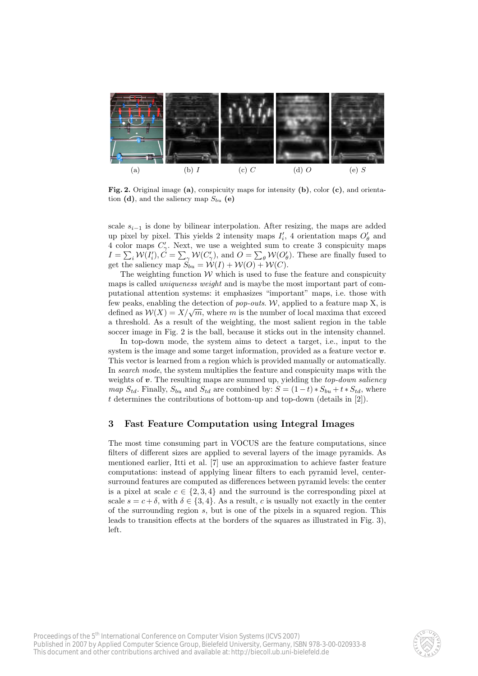

Fig. 2. Original image (a), conspicuity maps for intensity (b), color (c), and orientation (d), and the saliency map  $S_{bu}$  (e)

scale  $s_{i-1}$  is done by bilinear interpolation. After resizing, the maps are added up pixel by pixel. This yields 2 intensity maps  $I'_i$ , 4 orientation maps  $O'_{\theta}$  and 4 color maps  $C'_{\gamma}$ . Next, we use a weighted sum to create 3 conspicuity maps 4 color maps  $C_{\gamma}$ . Next, we use a weighted sum to create 5 conspicutly maps  $I = \sum_i \mathcal{W}(I'_i)$ ,  $C = \sum_{\gamma} \mathcal{W}(C'_{\gamma})$ , and  $O = \sum_{\theta} \mathcal{W}(O'_{\theta})$ . These are finally fused to get the saliency map  $S_{bu} = \mathcal{W}(I) + \mathcal{W}(O) + \mathcal{W}(C)$ .

The weighting function  $W$  which is used to fuse the feature and conspicuity maps is called *uniqueness weight* and is maybe the most important part of computational attention systems: it emphasizes "important" maps, i.e. those with few peaks, enabling the detection of *pop-outs.* W, applied to a feature map  $X$ , is defined as  $W(X) = X/\sqrt{m}$ , where m is the number of local maxima that exceed a threshold. As a result of the weighting, the most salient region in the table soccer image in Fig. 2 is the ball, because it sticks out in the intensity channel.

In top-down mode, the system aims to detect a target, i.e., input to the system is the image and some target information, provided as a feature vector  $\boldsymbol{v}$ . This vector is learned from a region which is provided manually or automatically. In search mode, the system multiplies the feature and conspicuity maps with the weights of  $v$ . The resulting maps are summed up, yielding the *top-down saliency* map  $S_{td}$ . Finally,  $S_{bu}$  and  $S_{td}$  are combined by:  $S = (1-t) * S_{bu} + t * S_{td}$ , where t determines the contributions of bottom-up and top-down (details in [2]).

#### 3 Fast Feature Computation using Integral Images

The most time consuming part in VOCUS are the feature computations, since filters of different sizes are applied to several layers of the image pyramids. As mentioned earlier, Itti et al. [7] use an approximation to achieve faster feature computations: instead of applying linear filters to each pyramid level, centersurround features are computed as differences between pyramid levels: the center is a pixel at scale  $c \in \{2,3,4\}$  and the surround is the corresponding pixel at scale  $s = c + \delta$ , with  $\delta \in \{3, 4\}$ . As a result, c is usually not exactly in the center of the surrounding region s, but is one of the pixels in a squared region. This leads to transition effects at the borders of the squares as illustrated in Fig. 3), left.

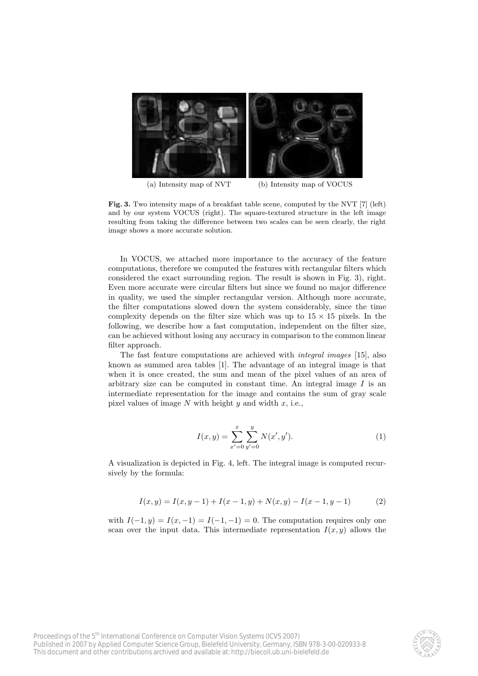

(a) Intensity map of NVT (b) Intensity map of VOCUS

Fig. 3. Two intensity maps of a breakfast table scene, computed by the NVT [7] (left) and by our system VOCUS (right). The square-textured structure in the left image resulting from taking the difference between two scales can be seen clearly, the right image shows a more accurate solution.

In VOCUS, we attached more importance to the accuracy of the feature computations, therefore we computed the features with rectangular filters which considered the exact surrounding region. The result is shown in Fig. 3), right. Even more accurate were circular filters but since we found no major difference in quality, we used the simpler rectangular version. Although more accurate, the filter computations slowed down the system considerably, since the time complexity depends on the filter size which was up to  $15 \times 15$  pixels. In the following, we describe how a fast computation, independent on the filter size, can be achieved without losing any accuracy in comparison to the common linear filter approach.

The fast feature computations are achieved with integral images [15], also known as summed area tables [1]. The advantage of an integral image is that when it is once created, the sum and mean of the pixel values of an area of arbitrary size can be computed in constant time. An integral image  $I$  is an intermediate representation for the image and contains the sum of gray scale pixel values of image  $N$  with height  $y$  and width  $x$ , i.e.,

$$
I(x,y) = \sum_{x'=0}^{x} \sum_{y'=0}^{y} N(x', y').
$$
 (1)

A visualization is depicted in Fig. 4, left. The integral image is computed recursively by the formula:

$$
I(x,y) = I(x,y-1) + I(x-1,y) + N(x,y) - I(x-1,y-1)
$$
 (2)

with  $I(-1, y) = I(x, -1) = I(-1, -1) = 0$ . The computation requires only one scan over the input data. This intermediate representation  $I(x, y)$  allows the

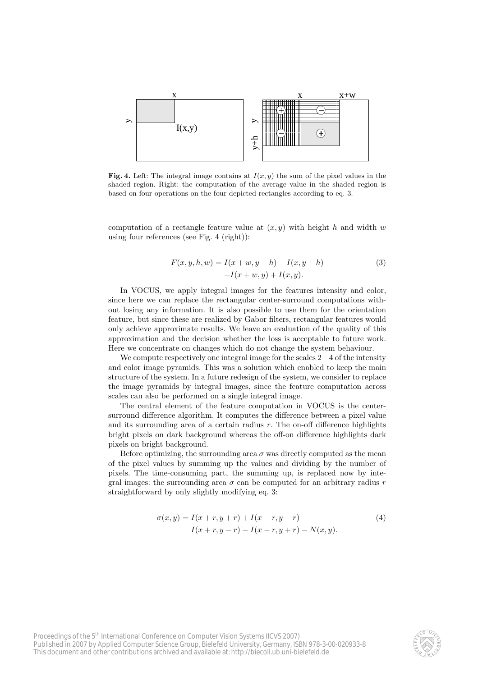

Fig. 4. Left: The integral image contains at  $I(x, y)$  the sum of the pixel values in the shaded region. Right: the computation of the average value in the shaded region is based on four operations on the four depicted rectangles according to eq. 3.

computation of a rectangle feature value at  $(x, y)$  with height h and width w using four references (see Fig. 4 (right)):

$$
F(x, y, h, w) = I(x + w, y + h) - I(x, y + h)
$$
  
-
$$
I(x + w, y) + I(x, y).
$$
 (3)

In VOCUS, we apply integral images for the features intensity and color, since here we can replace the rectangular center-surround computations without losing any information. It is also possible to use them for the orientation feature, but since these are realized by Gabor filters, rectangular features would only achieve approximate results. We leave an evaluation of the quality of this approximation and the decision whether the loss is acceptable to future work. Here we concentrate on changes which do not change the system behaviour.

We compute respectively one integral image for the scales  $2 - 4$  of the intensity and color image pyramids. This was a solution which enabled to keep the main structure of the system. In a future redesign of the system, we consider to replace the image pyramids by integral images, since the feature computation across scales can also be performed on a single integral image.

The central element of the feature computation in VOCUS is the centersurround difference algorithm. It computes the difference between a pixel value and its surrounding area of a certain radius  $r$ . The on-off difference highlights bright pixels on dark background whereas the off-on difference highlights dark pixels on bright background.

Before optimizing, the surrounding area  $\sigma$  was directly computed as the mean of the pixel values by summing up the values and dividing by the number of pixels. The time-consuming part, the summing up, is replaced now by integral images: the surrounding area  $\sigma$  can be computed for an arbitrary radius r straightforward by only slightly modifying eq. 3:

$$
\sigma(x,y) = I(x+r, y+r) + I(x-r, y-r) -I(x+r, y-r) - I(x-r, y+r) - N(x, y).
$$
\n(4)

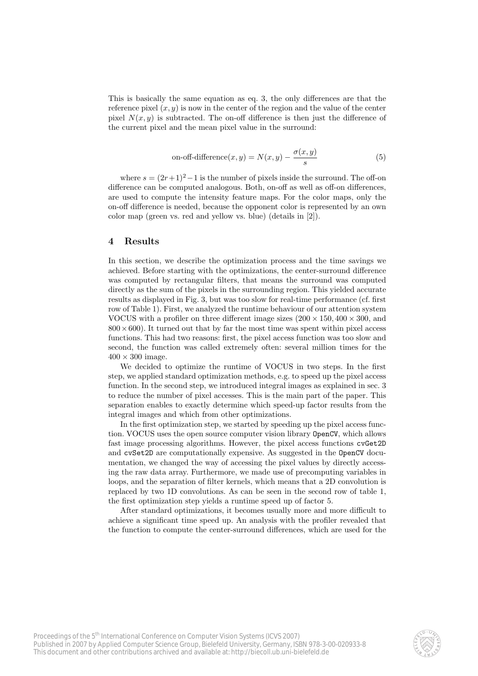This is basically the same equation as eq. 3, the only differences are that the reference pixel  $(x, y)$  is now in the center of the region and the value of the center pixel  $N(x, y)$  is subtracted. The on-off difference is then just the difference of the current pixel and the mean pixel value in the surround:

on-off-difference
$$
(x, y) = N(x, y) - \frac{\sigma(x, y)}{s}
$$
 (5)

where  $s = (2r+1)^2-1$  is the number of pixels inside the surround. The off-on difference can be computed analogous. Both, on-off as well as off-on differences, are used to compute the intensity feature maps. For the color maps, only the on-off difference is needed, because the opponent color is represented by an own color map (green vs. red and yellow vs. blue) (details in [2]).

## 4 Results

In this section, we describe the optimization process and the time savings we achieved. Before starting with the optimizations, the center-surround difference was computed by rectangular filters, that means the surround was computed directly as the sum of the pixels in the surrounding region. This yielded accurate results as displayed in Fig. 3, but was too slow for real-time performance (cf. first row of Table 1). First, we analyzed the runtime behaviour of our attention system VOCUS with a profiler on three different image sizes  $(200 \times 150, 400 \times 300, \text{ and})$  $800 \times 600$ ). It turned out that by far the most time was spent within pixel access functions. This had two reasons: first, the pixel access function was too slow and second, the function was called extremely often: several million times for the  $400 \times 300$  image.

We decided to optimize the runtime of VOCUS in two steps. In the first step, we applied standard optimization methods, e.g. to speed up the pixel access function. In the second step, we introduced integral images as explained in sec. 3 to reduce the number of pixel accesses. This is the main part of the paper. This separation enables to exactly determine which speed-up factor results from the integral images and which from other optimizations.

In the first optimization step, we started by speeding up the pixel access function. VOCUS uses the open source computer vision library OpenCV, which allows fast image processing algorithms. However, the pixel access functions cvGet2D and cvSet2D are computationally expensive. As suggested in the OpenCV documentation, we changed the way of accessing the pixel values by directly accessing the raw data array. Furthermore, we made use of precomputing variables in loops, and the separation of filter kernels, which means that a 2D convolution is replaced by two 1D convolutions. As can be seen in the second row of table 1, the first optimization step yields a runtime speed up of factor 5.

After standard optimizations, it becomes usually more and more difficult to achieve a significant time speed up. An analysis with the profiler revealed that the function to compute the center-surround differences, which are used for the

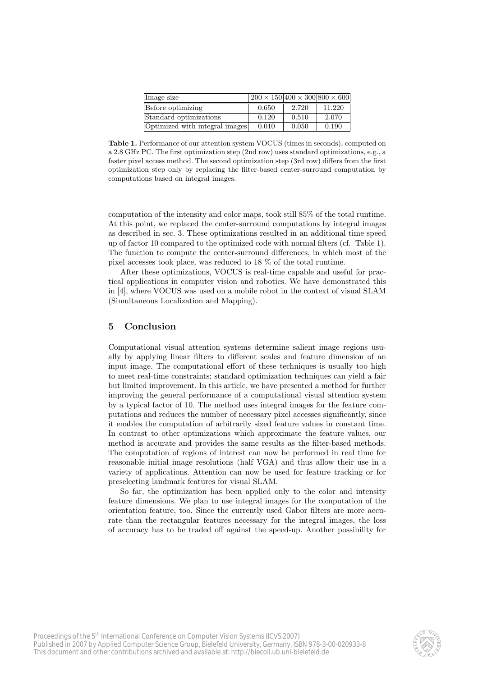| Image size                     | $  200 \times 150 400 \times 300 800 \times 600$ |       |        |
|--------------------------------|--------------------------------------------------|-------|--------|
| Before optimizing              | 0.650                                            | 2.720 | 11.220 |
| Standard optimizations         | 0.120                                            | 0.510 | 2.070  |
| Optimized with integral images | 0.010                                            | 0.050 | 0.190  |

Table 1. Performance of our attention system VOCUS (times in seconds), computed on a 2.8 GHz PC. The first optimization step (2nd row) uses standard optimizations, e.g., a faster pixel access method. The second optimization step (3rd row) differs from the first optimization step only by replacing the filter-based center-surround computation by computations based on integral images.

computation of the intensity and color maps, took still 85% of the total runtime. At this point, we replaced the center-surround computations by integral images as described in sec. 3. These optimizations resulted in an additional time speed up of factor 10 compared to the optimized code with normal filters (cf. Table 1). The function to compute the center-surround differences, in which most of the pixel accesses took place, was reduced to 18 % of the total runtime.

After these optimizations, VOCUS is real-time capable and useful for practical applications in computer vision and robotics. We have demonstrated this in [4], where VOCUS was used on a mobile robot in the context of visual SLAM (Simultaneous Localization and Mapping).

#### 5 Conclusion

Computational visual attention systems determine salient image regions usually by applying linear filters to different scales and feature dimension of an input image. The computational effort of these techniques is usually too high to meet real-time constraints; standard optimization techniques can yield a fair but limited improvement. In this article, we have presented a method for further improving the general performance of a computational visual attention system by a typical factor of 10. The method uses integral images for the feature computations and reduces the number of necessary pixel accesses significantly, since it enables the computation of arbitrarily sized feature values in constant time. In contrast to other optimizations which approximate the feature values, our method is accurate and provides the same results as the filter-based methods. The computation of regions of interest can now be performed in real time for reasonable initial image resolutions (half VGA) and thus allow their use in a variety of applications. Attention can now be used for feature tracking or for preselecting landmark features for visual SLAM.

So far, the optimization has been applied only to the color and intensity feature dimensions. We plan to use integral images for the computation of the orientation feature, too. Since the currently used Gabor filters are more accurate than the rectangular features necessary for the integral images, the loss of accuracy has to be traded off against the speed-up. Another possibility for